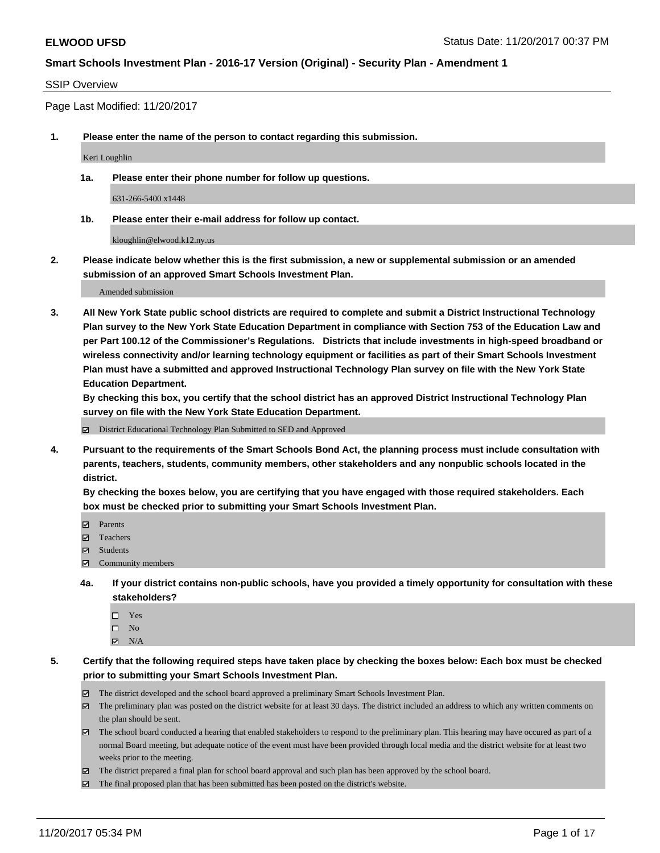#### SSIP Overview

Page Last Modified: 11/20/2017

**1. Please enter the name of the person to contact regarding this submission.**

Keri Loughlin

**1a. Please enter their phone number for follow up questions.**

631-266-5400 x1448

**1b. Please enter their e-mail address for follow up contact.**

kloughlin@elwood.k12.ny.us

**2. Please indicate below whether this is the first submission, a new or supplemental submission or an amended submission of an approved Smart Schools Investment Plan.**

Amended submission

**3. All New York State public school districts are required to complete and submit a District Instructional Technology Plan survey to the New York State Education Department in compliance with Section 753 of the Education Law and per Part 100.12 of the Commissioner's Regulations. Districts that include investments in high-speed broadband or wireless connectivity and/or learning technology equipment or facilities as part of their Smart Schools Investment Plan must have a submitted and approved Instructional Technology Plan survey on file with the New York State Education Department.** 

**By checking this box, you certify that the school district has an approved District Instructional Technology Plan survey on file with the New York State Education Department.**

District Educational Technology Plan Submitted to SED and Approved

**4. Pursuant to the requirements of the Smart Schools Bond Act, the planning process must include consultation with parents, teachers, students, community members, other stakeholders and any nonpublic schools located in the district.** 

**By checking the boxes below, you are certifying that you have engaged with those required stakeholders. Each box must be checked prior to submitting your Smart Schools Investment Plan.**

- **マ** Parents
- Teachers
- **☑** Students
- $\Xi$  Community members
- **4a. If your district contains non-public schools, have you provided a timely opportunity for consultation with these stakeholders?**
	- □ Yes
	- $\square$  No
	- $\boxtimes$  N/A

**5. Certify that the following required steps have taken place by checking the boxes below: Each box must be checked prior to submitting your Smart Schools Investment Plan.**

- The district developed and the school board approved a preliminary Smart Schools Investment Plan.
- The preliminary plan was posted on the district website for at least 30 days. The district included an address to which any written comments on the plan should be sent.
- The school board conducted a hearing that enabled stakeholders to respond to the preliminary plan. This hearing may have occured as part of a normal Board meeting, but adequate notice of the event must have been provided through local media and the district website for at least two weeks prior to the meeting.
- The district prepared a final plan for school board approval and such plan has been approved by the school board.
- $\boxtimes$  The final proposed plan that has been submitted has been posted on the district's website.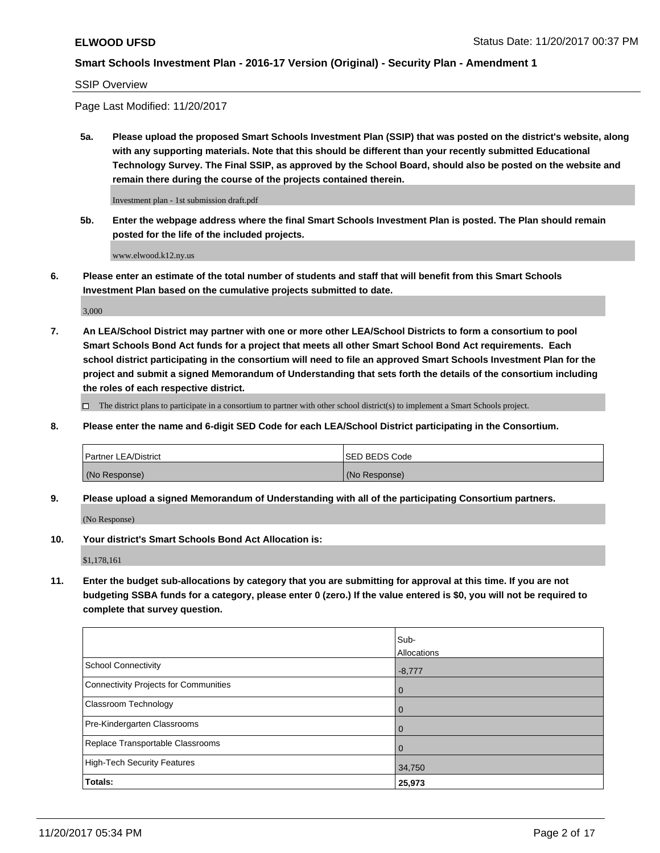#### SSIP Overview

Page Last Modified: 11/20/2017

**5a. Please upload the proposed Smart Schools Investment Plan (SSIP) that was posted on the district's website, along with any supporting materials. Note that this should be different than your recently submitted Educational Technology Survey. The Final SSIP, as approved by the School Board, should also be posted on the website and remain there during the course of the projects contained therein.**

Investment plan - 1st submission draft.pdf

**5b. Enter the webpage address where the final Smart Schools Investment Plan is posted. The Plan should remain posted for the life of the included projects.**

www.elwood.k12.ny.us

**6. Please enter an estimate of the total number of students and staff that will benefit from this Smart Schools Investment Plan based on the cumulative projects submitted to date.**

3,000

**7. An LEA/School District may partner with one or more other LEA/School Districts to form a consortium to pool Smart Schools Bond Act funds for a project that meets all other Smart School Bond Act requirements. Each school district participating in the consortium will need to file an approved Smart Schools Investment Plan for the project and submit a signed Memorandum of Understanding that sets forth the details of the consortium including the roles of each respective district.**

 $\Box$  The district plans to participate in a consortium to partner with other school district(s) to implement a Smart Schools project.

**8. Please enter the name and 6-digit SED Code for each LEA/School District participating in the Consortium.**

| <b>Partner LEA/District</b> | <b>ISED BEDS Code</b> |
|-----------------------------|-----------------------|
| (No Response)               | (No Response)         |

**9. Please upload a signed Memorandum of Understanding with all of the participating Consortium partners.**

(No Response)

**10. Your district's Smart Schools Bond Act Allocation is:**

\$1,178,161

**11. Enter the budget sub-allocations by category that you are submitting for approval at this time. If you are not budgeting SSBA funds for a category, please enter 0 (zero.) If the value entered is \$0, you will not be required to complete that survey question.**

|                                              | Sub-           |
|----------------------------------------------|----------------|
|                                              | Allocations    |
| <b>School Connectivity</b>                   | $-8,777$       |
| <b>Connectivity Projects for Communities</b> | $\mathbf 0$    |
| Classroom Technology                         | $\overline{0}$ |
| Pre-Kindergarten Classrooms                  | $\mathbf 0$    |
| Replace Transportable Classrooms             | $\Omega$       |
| <b>High-Tech Security Features</b>           | 34,750         |
| Totals:                                      | 25,973         |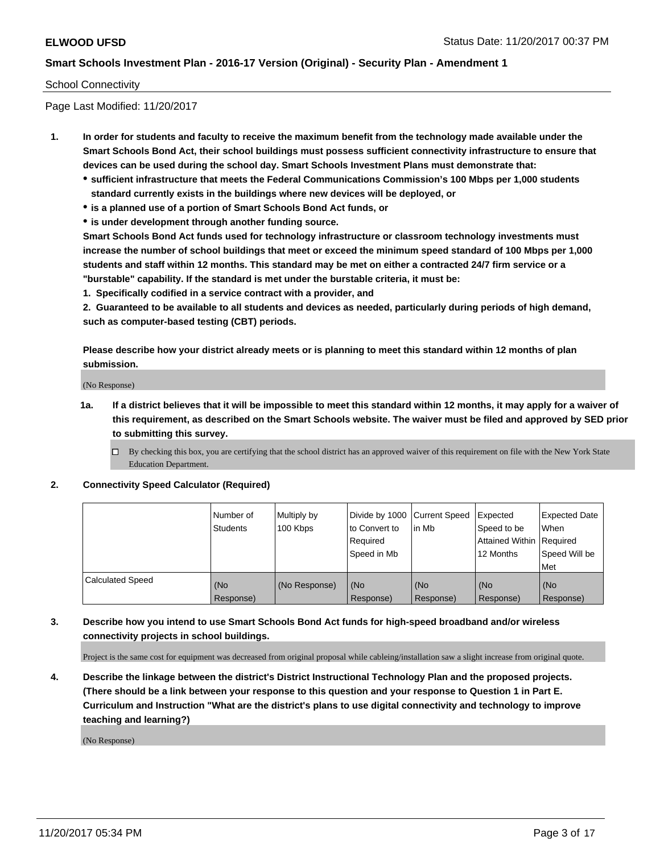### School Connectivity

Page Last Modified: 11/20/2017

- **1. In order for students and faculty to receive the maximum benefit from the technology made available under the Smart Schools Bond Act, their school buildings must possess sufficient connectivity infrastructure to ensure that devices can be used during the school day. Smart Schools Investment Plans must demonstrate that:**
	- **sufficient infrastructure that meets the Federal Communications Commission's 100 Mbps per 1,000 students standard currently exists in the buildings where new devices will be deployed, or**
	- **is a planned use of a portion of Smart Schools Bond Act funds, or**
	- **is under development through another funding source.**

**Smart Schools Bond Act funds used for technology infrastructure or classroom technology investments must increase the number of school buildings that meet or exceed the minimum speed standard of 100 Mbps per 1,000 students and staff within 12 months. This standard may be met on either a contracted 24/7 firm service or a "burstable" capability. If the standard is met under the burstable criteria, it must be:**

**1. Specifically codified in a service contract with a provider, and**

**2. Guaranteed to be available to all students and devices as needed, particularly during periods of high demand, such as computer-based testing (CBT) periods.**

**Please describe how your district already meets or is planning to meet this standard within 12 months of plan submission.**

(No Response)

**1a. If a district believes that it will be impossible to meet this standard within 12 months, it may apply for a waiver of this requirement, as described on the Smart Schools website. The waiver must be filed and approved by SED prior to submitting this survey.**

**2. Connectivity Speed Calculator (Required)**

|                         | I Number of<br>Students | Multiply by<br>100 Kbps | Divide by 1000 Current Speed<br>to Convert to<br>Reauired<br>Speed in Mb | in Mb            | Expected<br>Speed to be<br>Attained Within Required<br>12 Months | <b>Expected Date</b><br><b>When</b><br>Speed Will be<br>Met |
|-------------------------|-------------------------|-------------------------|--------------------------------------------------------------------------|------------------|------------------------------------------------------------------|-------------------------------------------------------------|
| <b>Calculated Speed</b> | (No<br>Response)        | (No Response)           | (No<br>Response)                                                         | (No<br>Response) | (No<br>Response)                                                 | l (No<br>Response)                                          |

### **3. Describe how you intend to use Smart Schools Bond Act funds for high-speed broadband and/or wireless connectivity projects in school buildings.**

Project is the same cost for equipment was decreased from original proposal while cableing/installation saw a slight increase from original quote.

**4. Describe the linkage between the district's District Instructional Technology Plan and the proposed projects. (There should be a link between your response to this question and your response to Question 1 in Part E. Curriculum and Instruction "What are the district's plans to use digital connectivity and technology to improve teaching and learning?)**

(No Response)

 $\Box$  By checking this box, you are certifying that the school district has an approved waiver of this requirement on file with the New York State Education Department.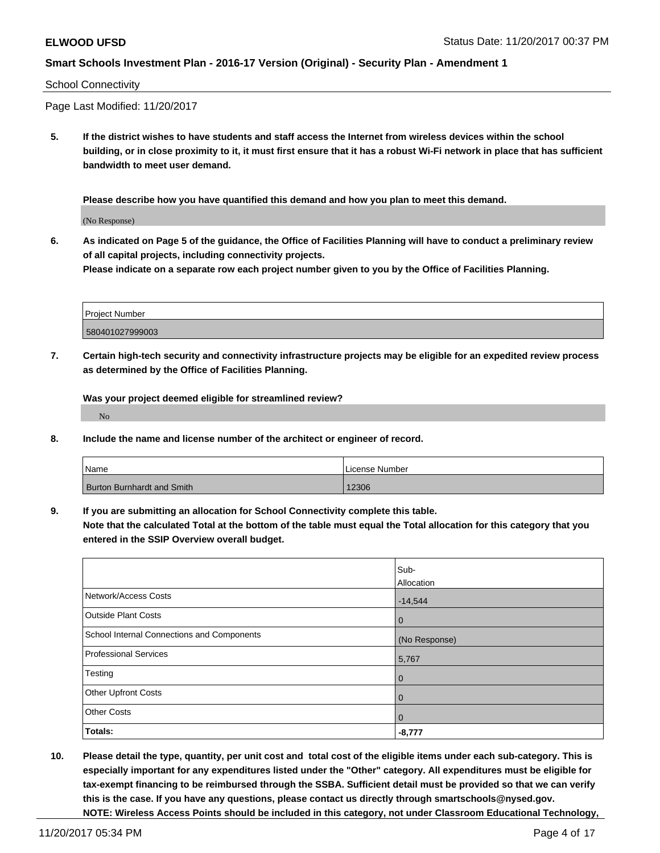#### School Connectivity

Page Last Modified: 11/20/2017

**5. If the district wishes to have students and staff access the Internet from wireless devices within the school building, or in close proximity to it, it must first ensure that it has a robust Wi-Fi network in place that has sufficient bandwidth to meet user demand.**

**Please describe how you have quantified this demand and how you plan to meet this demand.**

(No Response)

**6. As indicated on Page 5 of the guidance, the Office of Facilities Planning will have to conduct a preliminary review of all capital projects, including connectivity projects.**

**Please indicate on a separate row each project number given to you by the Office of Facilities Planning.**

| <b>Project Number</b> |  |
|-----------------------|--|
| 580401027999003       |  |

**7. Certain high-tech security and connectivity infrastructure projects may be eligible for an expedited review process as determined by the Office of Facilities Planning.**

**Was your project deemed eligible for streamlined review?**

No

**8. Include the name and license number of the architect or engineer of record.**

| Name                       | License Number |
|----------------------------|----------------|
| Burton Burnhardt and Smith | 12306          |

**9. If you are submitting an allocation for School Connectivity complete this table.**

**Note that the calculated Total at the bottom of the table must equal the Total allocation for this category that you entered in the SSIP Overview overall budget.** 

|                                            | Sub-           |
|--------------------------------------------|----------------|
|                                            | Allocation     |
| Network/Access Costs                       | $-14,544$      |
| Outside Plant Costs                        | $\mathbf 0$    |
| School Internal Connections and Components | (No Response)  |
| Professional Services                      | 5,767          |
| Testing                                    | $\overline{0}$ |
| Other Upfront Costs                        | $\mathbf 0$    |
| <b>Other Costs</b>                         | $\overline{0}$ |
| Totals:                                    | $-8,777$       |

**10. Please detail the type, quantity, per unit cost and total cost of the eligible items under each sub-category. This is especially important for any expenditures listed under the "Other" category. All expenditures must be eligible for tax-exempt financing to be reimbursed through the SSBA. Sufficient detail must be provided so that we can verify this is the case. If you have any questions, please contact us directly through smartschools@nysed.gov. NOTE: Wireless Access Points should be included in this category, not under Classroom Educational Technology,**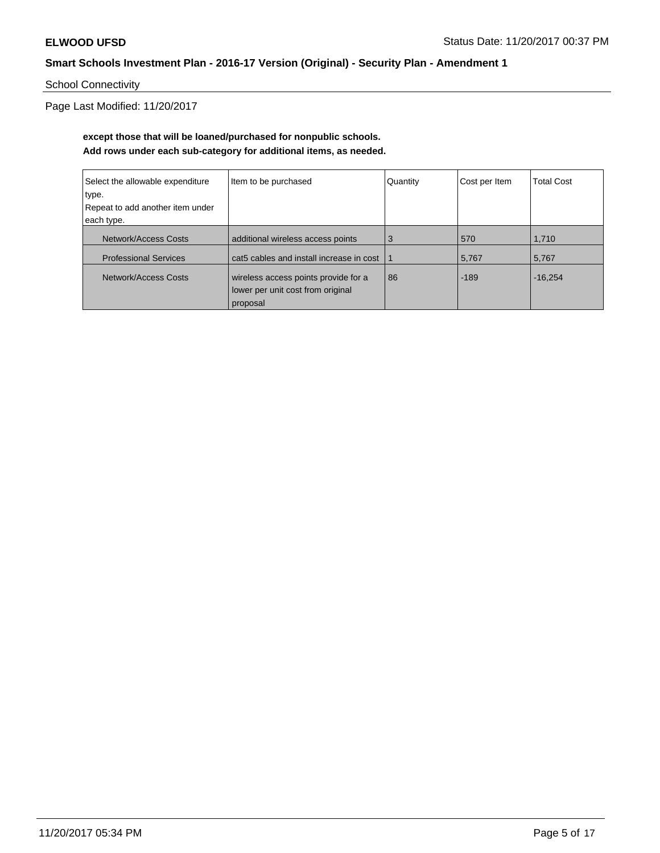School Connectivity

Page Last Modified: 11/20/2017

## **except those that will be loaned/purchased for nonpublic schools. Add rows under each sub-category for additional items, as needed.**

| Select the allowable expenditure | Item to be purchased                     | Quantity | Cost per Item | <b>Total Cost</b> |
|----------------------------------|------------------------------------------|----------|---------------|-------------------|
| type.                            |                                          |          |               |                   |
| Repeat to add another item under |                                          |          |               |                   |
| each type.                       |                                          |          |               |                   |
| Network/Access Costs             | additional wireless access points        | 3        | 570           | 1,710             |
| <b>Professional Services</b>     | cat5 cables and install increase in cost |          | 5,767         | 5,767             |
| Network/Access Costs             | wireless access points provide for a     | 86       | $-189$        | $-16.254$         |
|                                  | lower per unit cost from original        |          |               |                   |
|                                  | proposal                                 |          |               |                   |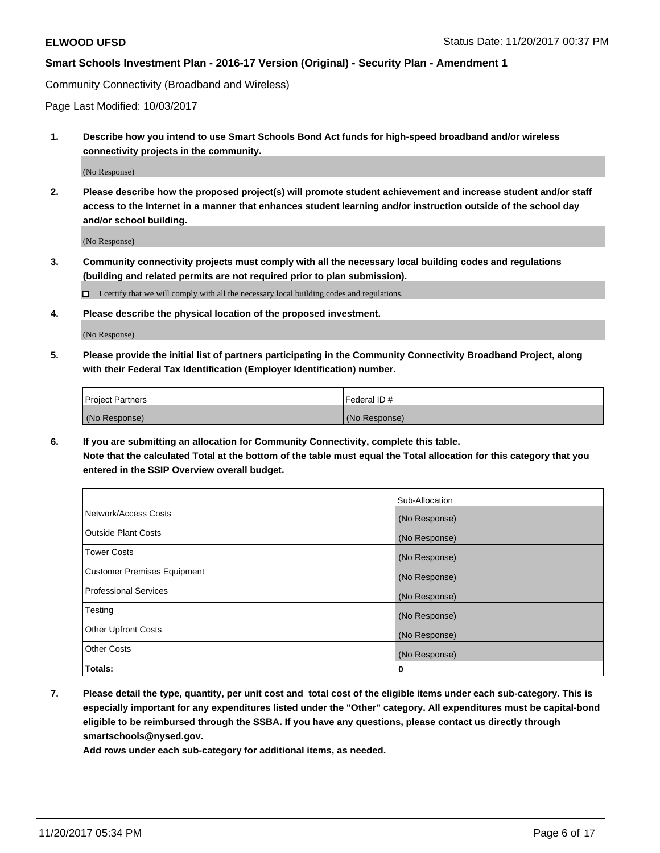Community Connectivity (Broadband and Wireless)

Page Last Modified: 10/03/2017

**1. Describe how you intend to use Smart Schools Bond Act funds for high-speed broadband and/or wireless connectivity projects in the community.**

(No Response)

**2. Please describe how the proposed project(s) will promote student achievement and increase student and/or staff access to the Internet in a manner that enhances student learning and/or instruction outside of the school day and/or school building.**

(No Response)

- **3. Community connectivity projects must comply with all the necessary local building codes and regulations (building and related permits are not required prior to plan submission).**
	- $\Box$  I certify that we will comply with all the necessary local building codes and regulations.
- **4. Please describe the physical location of the proposed investment.**

(No Response)

**5. Please provide the initial list of partners participating in the Community Connectivity Broadband Project, along with their Federal Tax Identification (Employer Identification) number.**

| <b>Project Partners</b> | l Federal ID # |
|-------------------------|----------------|
| (No Response)           | (No Response)  |

**6. If you are submitting an allocation for Community Connectivity, complete this table. Note that the calculated Total at the bottom of the table must equal the Total allocation for this category that you entered in the SSIP Overview overall budget.**

|                                    | Sub-Allocation |
|------------------------------------|----------------|
| Network/Access Costs               | (No Response)  |
| <b>Outside Plant Costs</b>         | (No Response)  |
| <b>Tower Costs</b>                 | (No Response)  |
| <b>Customer Premises Equipment</b> | (No Response)  |
| <b>Professional Services</b>       | (No Response)  |
| Testing                            | (No Response)  |
| <b>Other Upfront Costs</b>         | (No Response)  |
| <b>Other Costs</b>                 | (No Response)  |
| Totals:                            | 0              |

**7. Please detail the type, quantity, per unit cost and total cost of the eligible items under each sub-category. This is especially important for any expenditures listed under the "Other" category. All expenditures must be capital-bond eligible to be reimbursed through the SSBA. If you have any questions, please contact us directly through smartschools@nysed.gov.**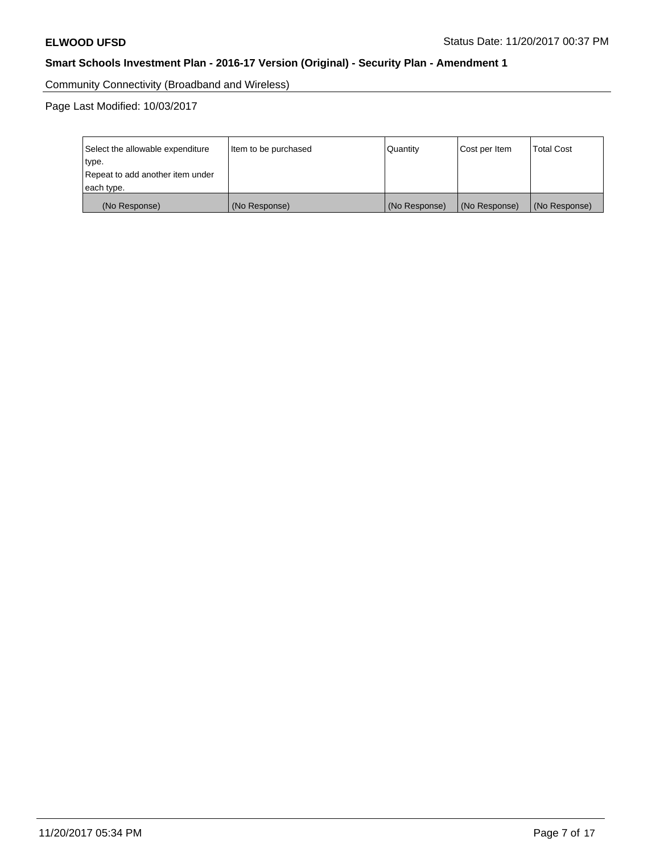Community Connectivity (Broadband and Wireless)

Page Last Modified: 10/03/2017

| Select the allowable expenditure<br>type.<br>Repeat to add another item under | Item to be purchased | Quantity      | Cost per Item | <b>Total Cost</b> |
|-------------------------------------------------------------------------------|----------------------|---------------|---------------|-------------------|
| each type.                                                                    |                      |               |               |                   |
| (No Response)                                                                 | (No Response)        | (No Response) | (No Response) | (No Response)     |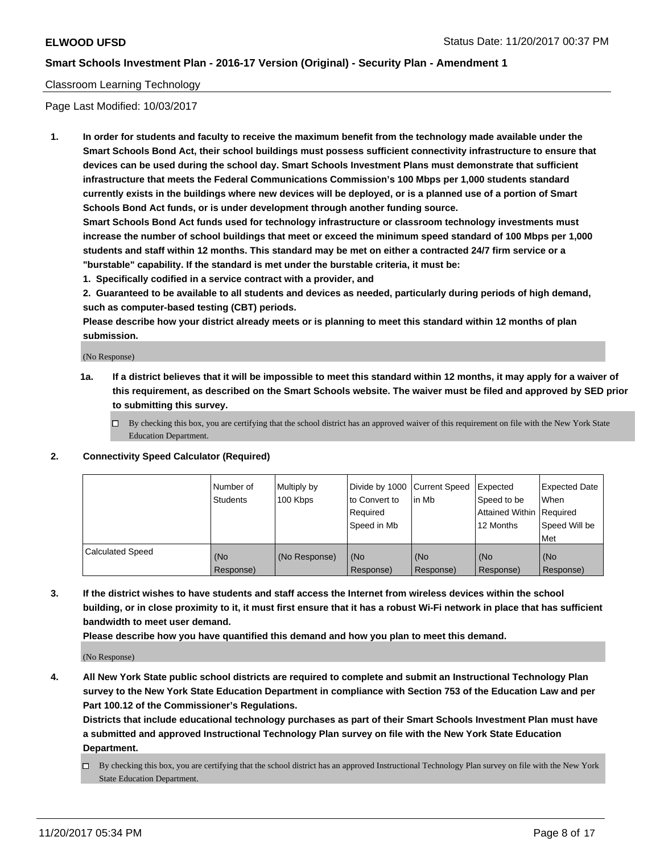## Classroom Learning Technology

Page Last Modified: 10/03/2017

**1. In order for students and faculty to receive the maximum benefit from the technology made available under the Smart Schools Bond Act, their school buildings must possess sufficient connectivity infrastructure to ensure that devices can be used during the school day. Smart Schools Investment Plans must demonstrate that sufficient infrastructure that meets the Federal Communications Commission's 100 Mbps per 1,000 students standard currently exists in the buildings where new devices will be deployed, or is a planned use of a portion of Smart Schools Bond Act funds, or is under development through another funding source.**

**Smart Schools Bond Act funds used for technology infrastructure or classroom technology investments must increase the number of school buildings that meet or exceed the minimum speed standard of 100 Mbps per 1,000 students and staff within 12 months. This standard may be met on either a contracted 24/7 firm service or a "burstable" capability. If the standard is met under the burstable criteria, it must be:**

**1. Specifically codified in a service contract with a provider, and**

**2. Guaranteed to be available to all students and devices as needed, particularly during periods of high demand, such as computer-based testing (CBT) periods.**

**Please describe how your district already meets or is planning to meet this standard within 12 months of plan submission.**

(No Response)

- **1a. If a district believes that it will be impossible to meet this standard within 12 months, it may apply for a waiver of this requirement, as described on the Smart Schools website. The waiver must be filed and approved by SED prior to submitting this survey.**
	- $\Box$  By checking this box, you are certifying that the school district has an approved waiver of this requirement on file with the New York State Education Department.
- **2. Connectivity Speed Calculator (Required)**

|                         | Number of<br><b>Students</b> | Multiply by<br>100 Kbps | Divide by 1000 Current Speed<br>to Convert to<br>Reauired<br>Speed in Mb | l in Mb          | Expected<br>Speed to be<br>Attained Within   Required<br>12 Months | Expected Date<br>When<br>Speed Will be<br>Met |
|-------------------------|------------------------------|-------------------------|--------------------------------------------------------------------------|------------------|--------------------------------------------------------------------|-----------------------------------------------|
| <b>Calculated Speed</b> | (No<br>Response)             | (No Response)           | (No<br>Response)                                                         | (No<br>Response) | (No<br>Response)                                                   | (No<br>Response)                              |

**3. If the district wishes to have students and staff access the Internet from wireless devices within the school building, or in close proximity to it, it must first ensure that it has a robust Wi-Fi network in place that has sufficient bandwidth to meet user demand.**

**Please describe how you have quantified this demand and how you plan to meet this demand.**

(No Response)

**4. All New York State public school districts are required to complete and submit an Instructional Technology Plan survey to the New York State Education Department in compliance with Section 753 of the Education Law and per Part 100.12 of the Commissioner's Regulations.**

**Districts that include educational technology purchases as part of their Smart Schools Investment Plan must have a submitted and approved Instructional Technology Plan survey on file with the New York State Education Department.**

By checking this box, you are certifying that the school district has an approved Instructional Technology Plan survey on file with the New York State Education Department.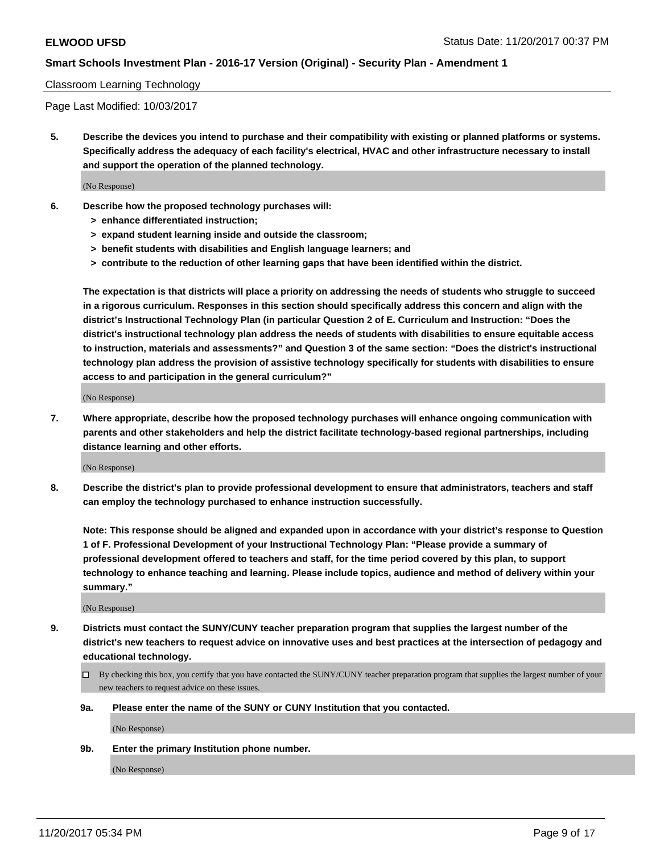#### Classroom Learning Technology

Page Last Modified: 10/03/2017

**5. Describe the devices you intend to purchase and their compatibility with existing or planned platforms or systems. Specifically address the adequacy of each facility's electrical, HVAC and other infrastructure necessary to install and support the operation of the planned technology.**

(No Response)

- **6. Describe how the proposed technology purchases will:**
	- **> enhance differentiated instruction;**
	- **> expand student learning inside and outside the classroom;**
	- **> benefit students with disabilities and English language learners; and**
	- **> contribute to the reduction of other learning gaps that have been identified within the district.**

**The expectation is that districts will place a priority on addressing the needs of students who struggle to succeed in a rigorous curriculum. Responses in this section should specifically address this concern and align with the district's Instructional Technology Plan (in particular Question 2 of E. Curriculum and Instruction: "Does the district's instructional technology plan address the needs of students with disabilities to ensure equitable access to instruction, materials and assessments?" and Question 3 of the same section: "Does the district's instructional technology plan address the provision of assistive technology specifically for students with disabilities to ensure access to and participation in the general curriculum?"**

(No Response)

**7. Where appropriate, describe how the proposed technology purchases will enhance ongoing communication with parents and other stakeholders and help the district facilitate technology-based regional partnerships, including distance learning and other efforts.**

(No Response)

**8. Describe the district's plan to provide professional development to ensure that administrators, teachers and staff can employ the technology purchased to enhance instruction successfully.**

**Note: This response should be aligned and expanded upon in accordance with your district's response to Question 1 of F. Professional Development of your Instructional Technology Plan: "Please provide a summary of professional development offered to teachers and staff, for the time period covered by this plan, to support technology to enhance teaching and learning. Please include topics, audience and method of delivery within your summary."**

(No Response)

- **9. Districts must contact the SUNY/CUNY teacher preparation program that supplies the largest number of the district's new teachers to request advice on innovative uses and best practices at the intersection of pedagogy and educational technology.**
	- By checking this box, you certify that you have contacted the SUNY/CUNY teacher preparation program that supplies the largest number of your new teachers to request advice on these issues.
	- **9a. Please enter the name of the SUNY or CUNY Institution that you contacted.**

(No Response)

**9b. Enter the primary Institution phone number.**

(No Response)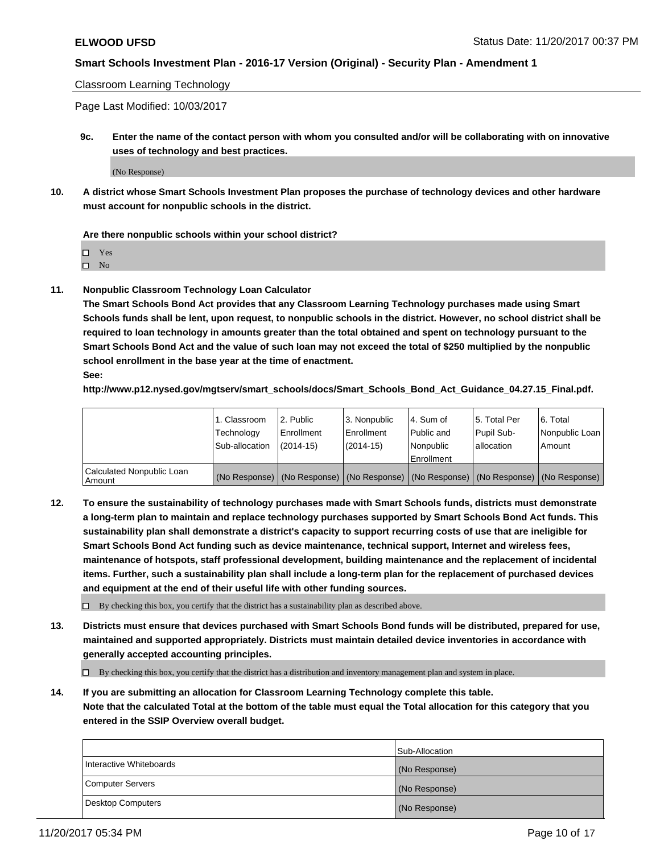Classroom Learning Technology

Page Last Modified: 10/03/2017

**9c. Enter the name of the contact person with whom you consulted and/or will be collaborating with on innovative uses of technology and best practices.**

(No Response)

**10. A district whose Smart Schools Investment Plan proposes the purchase of technology devices and other hardware must account for nonpublic schools in the district.**

**Are there nonpublic schools within your school district?**

Yes

 $\square$  No

**11. Nonpublic Classroom Technology Loan Calculator**

**The Smart Schools Bond Act provides that any Classroom Learning Technology purchases made using Smart Schools funds shall be lent, upon request, to nonpublic schools in the district. However, no school district shall be required to loan technology in amounts greater than the total obtained and spent on technology pursuant to the Smart Schools Bond Act and the value of such loan may not exceed the total of \$250 multiplied by the nonpublic school enrollment in the base year at the time of enactment.**

**See:**

**http://www.p12.nysed.gov/mgtserv/smart\_schools/docs/Smart\_Schools\_Bond\_Act\_Guidance\_04.27.15\_Final.pdf.**

|                                       | 1. Classroom   | l 2. Public   | 3. Nonpublic | l 4. Sum of | 15. Total Per                                                                                 | 6. Total       |
|---------------------------------------|----------------|---------------|--------------|-------------|-----------------------------------------------------------------------------------------------|----------------|
|                                       | Technology     | Enrollment    | Enrollment   | Public and  | Pupil Sub-                                                                                    | Nonpublic Loan |
|                                       | Sub-allocation | $(2014 - 15)$ | $(2014-15)$  | l Nonpublic | allocation                                                                                    | Amount         |
|                                       |                |               |              | Enrollment  |                                                                                               |                |
| Calculated Nonpublic Loan<br>  Amount |                |               |              |             | (No Response)   (No Response)   (No Response)   (No Response)   (No Response)   (No Response) |                |

**12. To ensure the sustainability of technology purchases made with Smart Schools funds, districts must demonstrate a long-term plan to maintain and replace technology purchases supported by Smart Schools Bond Act funds. This sustainability plan shall demonstrate a district's capacity to support recurring costs of use that are ineligible for Smart Schools Bond Act funding such as device maintenance, technical support, Internet and wireless fees, maintenance of hotspots, staff professional development, building maintenance and the replacement of incidental items. Further, such a sustainability plan shall include a long-term plan for the replacement of purchased devices and equipment at the end of their useful life with other funding sources.**

 $\Box$  By checking this box, you certify that the district has a sustainability plan as described above.

**13. Districts must ensure that devices purchased with Smart Schools Bond funds will be distributed, prepared for use, maintained and supported appropriately. Districts must maintain detailed device inventories in accordance with generally accepted accounting principles.**

By checking this box, you certify that the district has a distribution and inventory management plan and system in place.

**14. If you are submitting an allocation for Classroom Learning Technology complete this table. Note that the calculated Total at the bottom of the table must equal the Total allocation for this category that you entered in the SSIP Overview overall budget.**

|                         | Sub-Allocation |
|-------------------------|----------------|
| Interactive Whiteboards | (No Response)  |
| Computer Servers        | (No Response)  |
| Desktop Computers       | (No Response)  |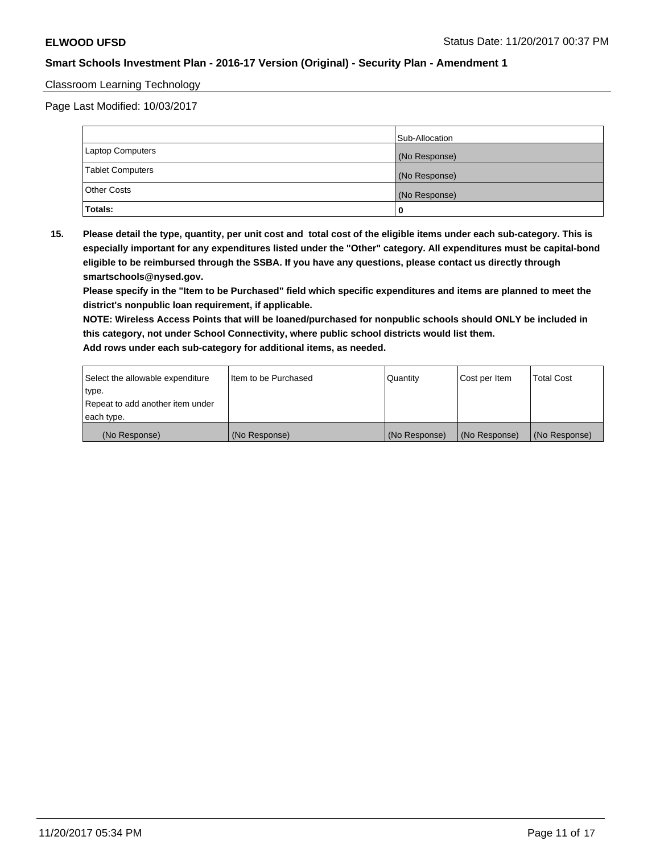### Classroom Learning Technology

Page Last Modified: 10/03/2017

|                         | Sub-Allocation |
|-------------------------|----------------|
| <b>Laptop Computers</b> | (No Response)  |
| <b>Tablet Computers</b> | (No Response)  |
| <b>Other Costs</b>      | (No Response)  |
| Totals:                 |                |

**15. Please detail the type, quantity, per unit cost and total cost of the eligible items under each sub-category. This is especially important for any expenditures listed under the "Other" category. All expenditures must be capital-bond eligible to be reimbursed through the SSBA. If you have any questions, please contact us directly through smartschools@nysed.gov.**

**Please specify in the "Item to be Purchased" field which specific expenditures and items are planned to meet the district's nonpublic loan requirement, if applicable.**

**NOTE: Wireless Access Points that will be loaned/purchased for nonpublic schools should ONLY be included in this category, not under School Connectivity, where public school districts would list them. Add rows under each sub-category for additional items, as needed.**

| Select the allowable expenditure | I Item to be Purchased | Quantity      | Cost per Item   | <b>Total Cost</b> |
|----------------------------------|------------------------|---------------|-----------------|-------------------|
| type.                            |                        |               |                 |                   |
| Repeat to add another item under |                        |               |                 |                   |
| each type.                       |                        |               |                 |                   |
| (No Response)                    | (No Response)          | (No Response) | l (No Response) | (No Response)     |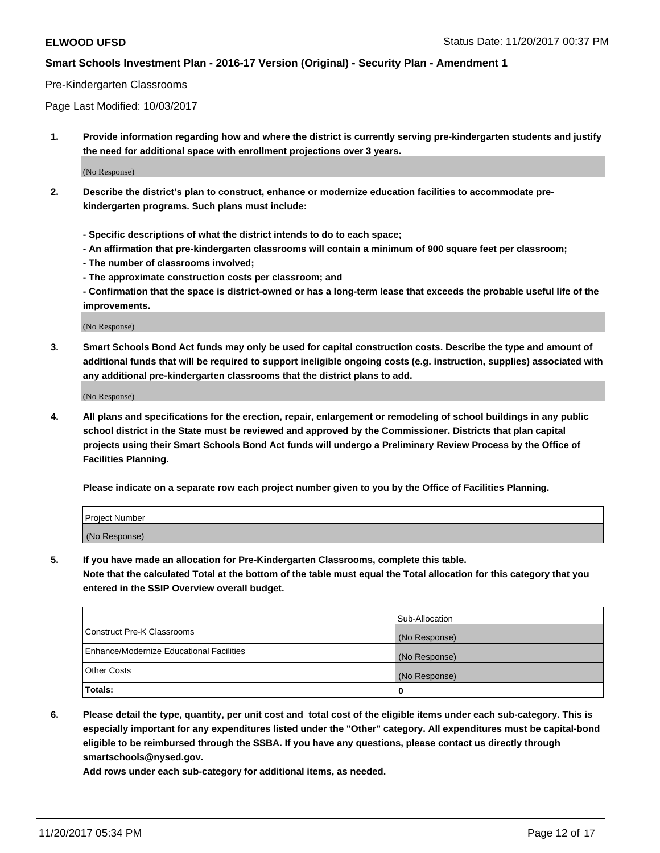### Pre-Kindergarten Classrooms

Page Last Modified: 10/03/2017

**1. Provide information regarding how and where the district is currently serving pre-kindergarten students and justify the need for additional space with enrollment projections over 3 years.**

(No Response)

- **2. Describe the district's plan to construct, enhance or modernize education facilities to accommodate prekindergarten programs. Such plans must include:**
	- **Specific descriptions of what the district intends to do to each space;**
	- **An affirmation that pre-kindergarten classrooms will contain a minimum of 900 square feet per classroom;**
	- **The number of classrooms involved;**
	- **The approximate construction costs per classroom; and**
	- **Confirmation that the space is district-owned or has a long-term lease that exceeds the probable useful life of the improvements.**

(No Response)

**3. Smart Schools Bond Act funds may only be used for capital construction costs. Describe the type and amount of additional funds that will be required to support ineligible ongoing costs (e.g. instruction, supplies) associated with any additional pre-kindergarten classrooms that the district plans to add.**

(No Response)

**4. All plans and specifications for the erection, repair, enlargement or remodeling of school buildings in any public school district in the State must be reviewed and approved by the Commissioner. Districts that plan capital projects using their Smart Schools Bond Act funds will undergo a Preliminary Review Process by the Office of Facilities Planning.**

**Please indicate on a separate row each project number given to you by the Office of Facilities Planning.**

| Project Number |  |
|----------------|--|
| (No Response)  |  |

**5. If you have made an allocation for Pre-Kindergarten Classrooms, complete this table.**

**Note that the calculated Total at the bottom of the table must equal the Total allocation for this category that you entered in the SSIP Overview overall budget.**

|                                          | Sub-Allocation |
|------------------------------------------|----------------|
| Construct Pre-K Classrooms               | (No Response)  |
| Enhance/Modernize Educational Facilities | (No Response)  |
| <b>Other Costs</b>                       | (No Response)  |
| <b>Totals:</b>                           | 0              |

**6. Please detail the type, quantity, per unit cost and total cost of the eligible items under each sub-category. This is especially important for any expenditures listed under the "Other" category. All expenditures must be capital-bond eligible to be reimbursed through the SSBA. If you have any questions, please contact us directly through smartschools@nysed.gov.**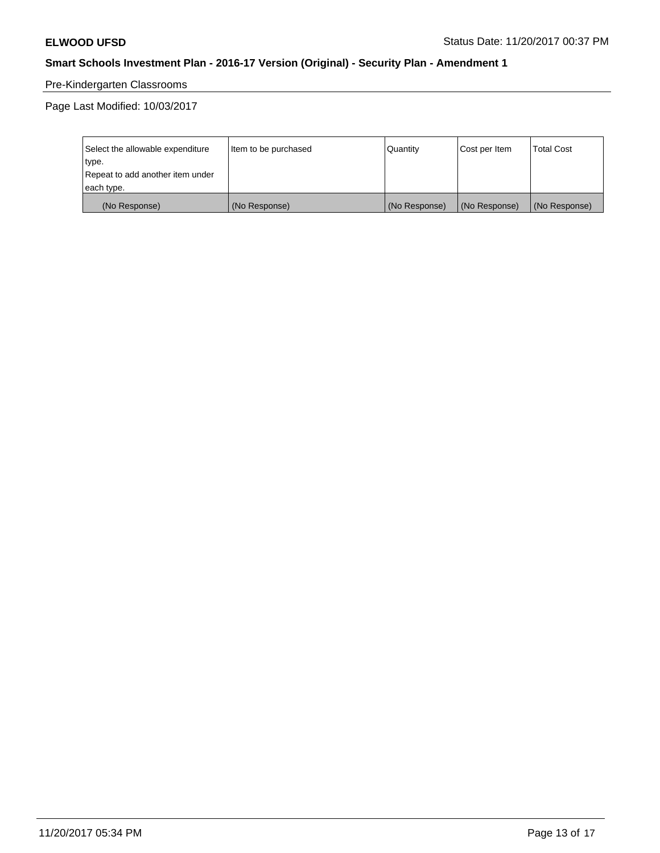# Pre-Kindergarten Classrooms

Page Last Modified: 10/03/2017

| Select the allowable expenditure | Item to be purchased | Quantity      | Cost per Item | <b>Total Cost</b> |
|----------------------------------|----------------------|---------------|---------------|-------------------|
| type.                            |                      |               |               |                   |
| Repeat to add another item under |                      |               |               |                   |
| each type.                       |                      |               |               |                   |
| (No Response)                    | (No Response)        | (No Response) | (No Response) | (No Response)     |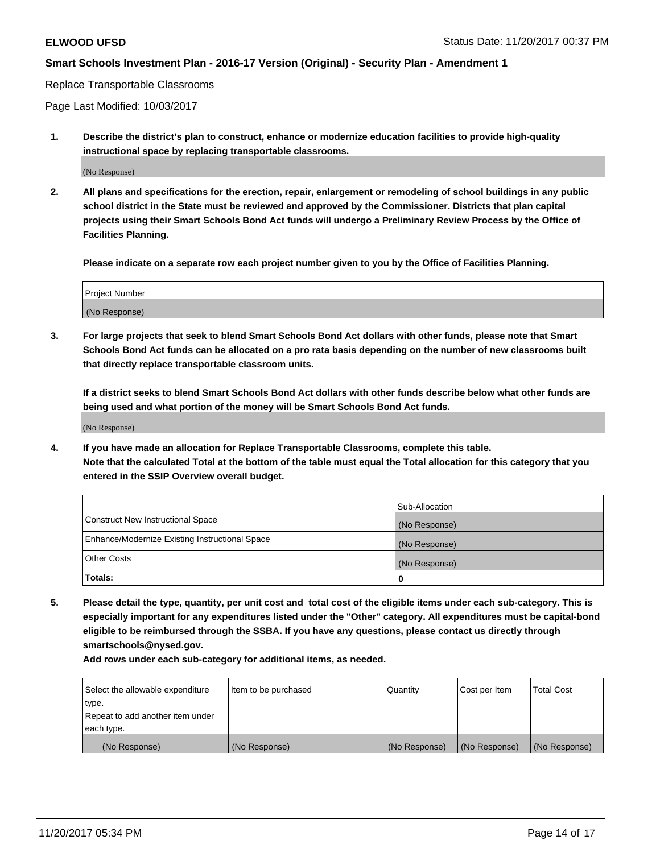#### Replace Transportable Classrooms

Page Last Modified: 10/03/2017

**1. Describe the district's plan to construct, enhance or modernize education facilities to provide high-quality instructional space by replacing transportable classrooms.**

(No Response)

**2. All plans and specifications for the erection, repair, enlargement or remodeling of school buildings in any public school district in the State must be reviewed and approved by the Commissioner. Districts that plan capital projects using their Smart Schools Bond Act funds will undergo a Preliminary Review Process by the Office of Facilities Planning.**

**Please indicate on a separate row each project number given to you by the Office of Facilities Planning.**

| <b>Project Number</b> |  |
|-----------------------|--|
| (No Response)         |  |

**3. For large projects that seek to blend Smart Schools Bond Act dollars with other funds, please note that Smart Schools Bond Act funds can be allocated on a pro rata basis depending on the number of new classrooms built that directly replace transportable classroom units.**

**If a district seeks to blend Smart Schools Bond Act dollars with other funds describe below what other funds are being used and what portion of the money will be Smart Schools Bond Act funds.**

(No Response)

**4. If you have made an allocation for Replace Transportable Classrooms, complete this table. Note that the calculated Total at the bottom of the table must equal the Total allocation for this category that you entered in the SSIP Overview overall budget.**

|                                                | Sub-Allocation |
|------------------------------------------------|----------------|
| Construct New Instructional Space              | (No Response)  |
| Enhance/Modernize Existing Instructional Space | (No Response)  |
| <b>Other Costs</b>                             | (No Response)  |
| Totals:                                        | 0              |

**5. Please detail the type, quantity, per unit cost and total cost of the eligible items under each sub-category. This is especially important for any expenditures listed under the "Other" category. All expenditures must be capital-bond eligible to be reimbursed through the SSBA. If you have any questions, please contact us directly through smartschools@nysed.gov.**

| Select the allowable expenditure<br>type.      | Item to be purchased | Quantity      | Cost per Item | <b>Total Cost</b> |
|------------------------------------------------|----------------------|---------------|---------------|-------------------|
| Repeat to add another item under<br>each type. |                      |               |               |                   |
| (No Response)                                  | (No Response)        | (No Response) | (No Response) | (No Response)     |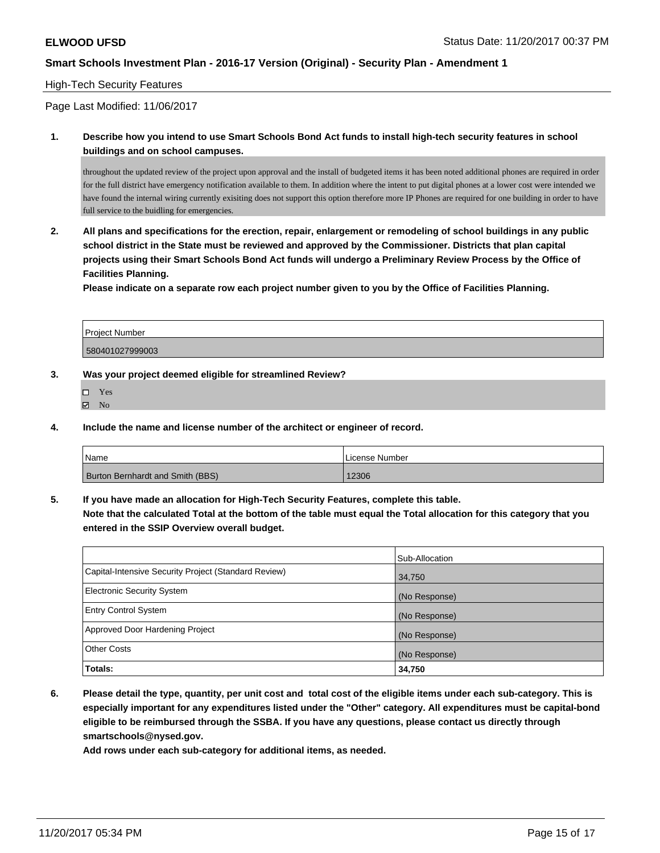### High-Tech Security Features

Page Last Modified: 11/06/2017

## **1. Describe how you intend to use Smart Schools Bond Act funds to install high-tech security features in school buildings and on school campuses.**

throughout the updated review of the project upon approval and the install of budgeted items it has been noted additional phones are required in order for the full district have emergency notification available to them. In addition where the intent to put digital phones at a lower cost were intended we have found the internal wiring currently exisiting does not support this option therefore more IP Phones are required for one building in order to have full service to the buidling for emergencies.

**2. All plans and specifications for the erection, repair, enlargement or remodeling of school buildings in any public school district in the State must be reviewed and approved by the Commissioner. Districts that plan capital projects using their Smart Schools Bond Act funds will undergo a Preliminary Review Process by the Office of Facilities Planning.** 

**Please indicate on a separate row each project number given to you by the Office of Facilities Planning.**

| <b>Project Number</b> |  |
|-----------------------|--|
| 580401027999003       |  |

**3. Was your project deemed eligible for streamlined Review?**

- Yes
- $\boxtimes$  No

**4. Include the name and license number of the architect or engineer of record.**

| Name                                    | License Number |
|-----------------------------------------|----------------|
| <b>Burton Bernhardt and Smith (BBS)</b> | 2306           |

**5. If you have made an allocation for High-Tech Security Features, complete this table.**

**Note that the calculated Total at the bottom of the table must equal the Total allocation for this category that you entered in the SSIP Overview overall budget.**

|                                                      | Sub-Allocation |
|------------------------------------------------------|----------------|
| Capital-Intensive Security Project (Standard Review) | 34,750         |
| <b>Electronic Security System</b>                    | (No Response)  |
| <b>Entry Control System</b>                          | (No Response)  |
| Approved Door Hardening Project                      | (No Response)  |
| <b>Other Costs</b>                                   | (No Response)  |
| Totals:                                              | 34,750         |

**6. Please detail the type, quantity, per unit cost and total cost of the eligible items under each sub-category. This is especially important for any expenditures listed under the "Other" category. All expenditures must be capital-bond eligible to be reimbursed through the SSBA. If you have any questions, please contact us directly through smartschools@nysed.gov.**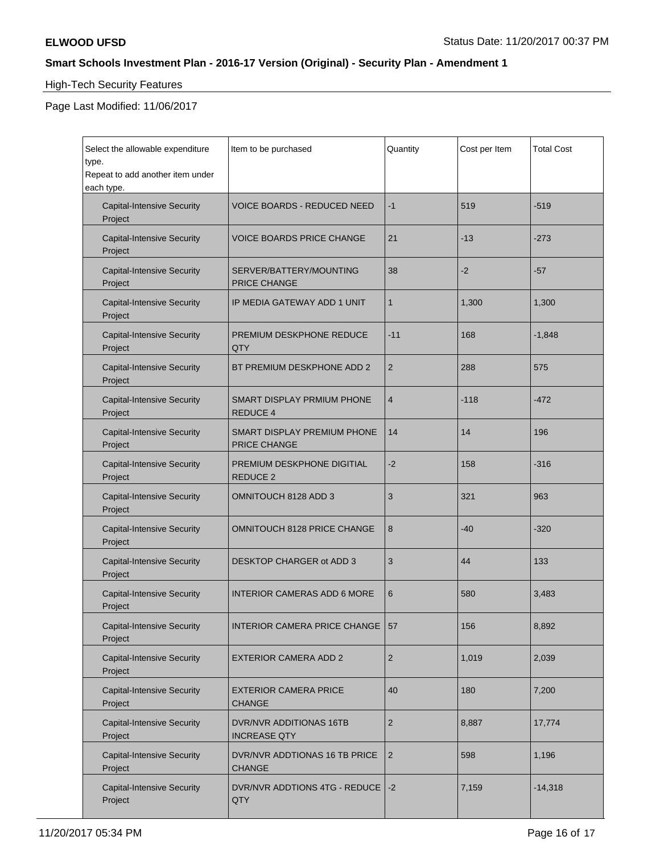$\blacksquare$ 

# **Smart Schools Investment Plan - 2016-17 Version (Original) - Security Plan - Amendment 1**

# High-Tech Security Features

Page Last Modified: 11/06/2017

| Select the allowable expenditure<br>type.<br>Repeat to add another item under<br>each type. | Item to be purchased                               | Quantity       | Cost per Item | <b>Total Cost</b> |
|---------------------------------------------------------------------------------------------|----------------------------------------------------|----------------|---------------|-------------------|
| <b>Capital-Intensive Security</b><br>Project                                                | <b>VOICE BOARDS - REDUCED NEED</b>                 | $-1$           | 519           | $-519$            |
| <b>Capital-Intensive Security</b><br>Project                                                | <b>VOICE BOARDS PRICE CHANGE</b>                   | 21             | $-13$         | $-273$            |
| <b>Capital-Intensive Security</b><br>Project                                                | SERVER/BATTERY/MOUNTING<br><b>PRICE CHANGE</b>     | 38             | $-2$          | $-57$             |
| <b>Capital-Intensive Security</b><br>Project                                                | IP MEDIA GATEWAY ADD 1 UNIT                        | $\mathbf{1}$   | 1,300         | 1,300             |
| <b>Capital-Intensive Security</b><br>Project                                                | PREMIUM DESKPHONE REDUCE<br>QTY                    | $-11$          | 168           | $-1,848$          |
| <b>Capital-Intensive Security</b><br>Project                                                | BT PREMIUM DESKPHONE ADD 2                         | $\overline{2}$ | 288           | 575               |
| <b>Capital-Intensive Security</b><br>Project                                                | SMART DISPLAY PRMIUM PHONE<br><b>REDUCE 4</b>      | $\overline{4}$ | $-118$        | $-472$            |
| <b>Capital-Intensive Security</b><br>Project                                                | SMART DISPLAY PREMIUM PHONE<br><b>PRICE CHANGE</b> | 14             | 14            | 196               |
| <b>Capital-Intensive Security</b><br>Project                                                | PREMIUM DESKPHONE DIGITIAL<br>REDUCE 2             | -2             | 158           | $-316$            |
| <b>Capital-Intensive Security</b><br>Project                                                | OMNITOUCH 8128 ADD 3                               | 3              | 321           | 963               |
| <b>Capital-Intensive Security</b><br>Project                                                | <b>OMNITOUCH 8128 PRICE CHANGE</b>                 | 8              | -40           | $-320$            |
| <b>Capital-Intensive Security</b><br>Project                                                | DESKTOP CHARGER ot ADD 3                           | 3              | 44            | 133               |
| <b>Capital-Intensive Security</b><br>Project                                                | <b>INTERIOR CAMERAS ADD 6 MORE</b>                 | 6              | 580           | 3,483             |
| <b>Capital-Intensive Security</b><br>Project                                                | INTERIOR CAMERA PRICE CHANGE   57                  |                | 156           | 8,892             |
| <b>Capital-Intensive Security</b><br>Project                                                | <b>EXTERIOR CAMERA ADD 2</b>                       | $\overline{2}$ | 1,019         | 2,039             |
| <b>Capital-Intensive Security</b><br>Project                                                | <b>EXTERIOR CAMERA PRICE</b><br><b>CHANGE</b>      | 40             | 180           | 7,200             |
| <b>Capital-Intensive Security</b><br>Project                                                | DVR/NVR ADDITIONAS 16TB<br><b>INCREASE QTY</b>     | $\overline{2}$ | 8,887         | 17,774            |
| <b>Capital-Intensive Security</b><br>Project                                                | DVR/NVR ADDTIONAS 16 TB PRICE<br><b>CHANGE</b>     | $\overline{2}$ | 598           | 1,196             |
| <b>Capital-Intensive Security</b><br>Project                                                | DVR/NVR ADDTIONS 4TG - REDUCE<br>QTY               | $ -2 $         | 7,159         | $-14,318$         |